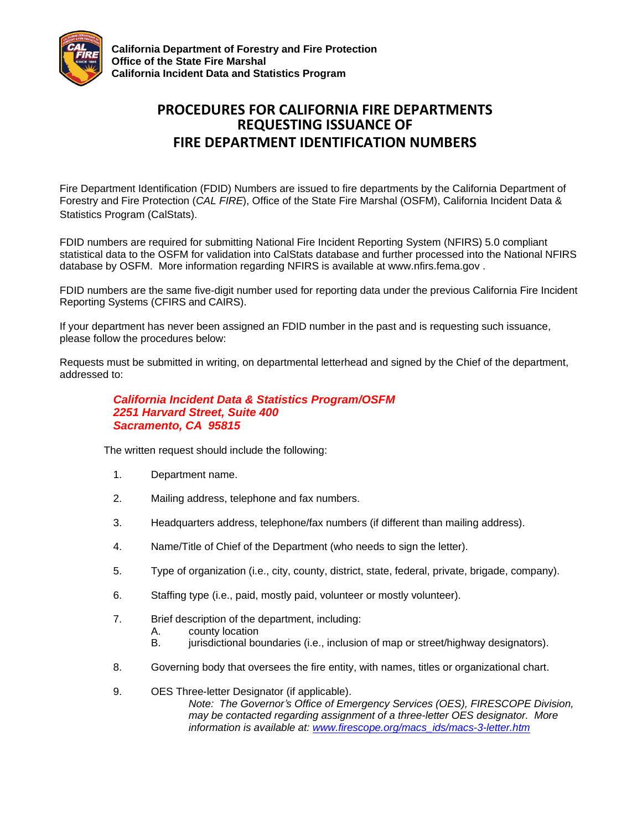

**California Department of Forestry and Fire Protection Office of the State Fire Marshal California Incident Data and Statistics Program**

## **PROCEDURES FOR CALIFORNIA FIRE DEPARTMENTS REQUESTING ISSUANCE OF FIRE DEPARTMENT IDENTIFICATION NUMBERS**

Fire Department Identification (FDID) Numbers are issued to fire departments by the California Department of Forestry and Fire Protection (*CAL FIRE*), Office of the State Fire Marshal (OSFM), California Incident Data & Statistics Program (CalStats).

FDID numbers are required for submitting National Fire Incident Reporting System (NFIRS) 5.0 compliant statistical data to the OSFM for validation into CalStats database and further processed into the National NFIRS database by OSFM. More information regarding NFIRS is available at [www.nfirs.fema.gov .](http://www.nfirs.fema.gov/)

FDID numbers are the same five-digit number used for reporting data under the previous California Fire Incident Reporting Systems (CFIRS and CAIRS).

If your department has never been assigned an FDID number in the past and is requesting such issuance, please follow the procedures below:

Requests must be submitted in writing, on departmental letterhead and signed by the Chief of the department, addressed to:

## *California Incident Data & Statistics Program/OSFM 2251 Harvard Street, Suite 400 Sacramento, CA 95815*

The written request should include the following:

- 1. Department name.
- 2. Mailing address, telephone and fax numbers.
- 3. Headquarters address, telephone/fax numbers (if different than mailing address).
- 4. Name/Title of Chief of the Department (who needs to sign the letter).
- 5. Type of organization (i.e., city, county, district, state, federal, private, brigade, company).
- 6. Staffing type (i.e., paid, mostly paid, volunteer or mostly volunteer).
- 7. Brief description of the department, including:
	- A. county location
	- B. jurisdictional boundaries (i.e., inclusion of map or street/highway designators).
- 8. Governing body that oversees the fire entity, with names, titles or organizational chart.

9. OES Three-letter Designator (if applicable). *Note: The Governor's Office of Emergency Services (OES), FIRESCOPE Division, may be contacted regarding assignment of a three-letter OES designator. More information is available at: [www.firescope.org/macs\\_ids/macs-3-letter.htm](http://www.firescope.org/macs_ids/macs-3-letter.htm)*